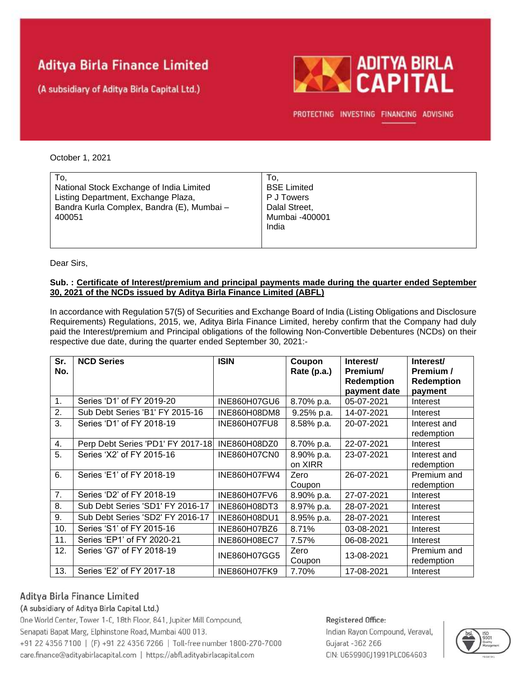# **Aditya Birla Finance Limited**

(A subsidiary of Aditya Birla Capital Ltd.)



PROTECTING INVESTING FINANCING ADVISING

#### October 1, 2021

Dear Sirs,

#### **Sub. : Certificate of Interest/premium and principal payments made during the quarter ended September 30, 2021 of the NCDs issued by Aditya Birla Finance Limited (ABFL)**

In accordance with Regulation 57(5) of Securities and Exchange Board of India (Listing Obligations and Disclosure Requirements) Regulations, 2015, we, Aditya Birla Finance Limited, hereby confirm that the Company had duly paid the Interest/premium and Principal obligations of the following Non-Convertible Debentures (NCDs) on their respective due date, during the quarter ended September 30, 2021:-

| Sr.<br>No.    | <b>NCD Series</b>                 | <b>ISIN</b>         | Coupon<br>Rate (p.a.) | Interest/<br>Premium/<br><b>Redemption</b><br>payment date | Interest/<br>Premium /<br>Redemption<br>payment |
|---------------|-----------------------------------|---------------------|-----------------------|------------------------------------------------------------|-------------------------------------------------|
| $\mathbf 1$ . | Series 'D1' of FY 2019-20         | INE860H07GU6        | 8.70% p.a.            | 05-07-2021                                                 | Interest                                        |
| 2.            | Sub Debt Series 'B1' FY 2015-16   | INE860H08DM8        | 9.25% p.a.            | 14-07-2021                                                 | Interest                                        |
| 3.            | Series 'D1' of FY 2018-19         | INE860H07FU8        | 8.58% p.a.            | 20-07-2021                                                 | Interest and<br>redemption                      |
| 4.            | Perp Debt Series 'PD1' FY 2017-18 | INE860H08DZ0        | 8.70% p.a.            | 22-07-2021                                                 | Interest                                        |
| 5.            | Series 'X2' of FY 2015-16         | INE860H07CN0        | 8.90% p.a.<br>on XIRR | 23-07-2021                                                 | Interest and<br>redemption                      |
| 6.            | Series 'E1' of FY 2018-19         | INE860H07FW4        | Zero<br>Coupon        | 26-07-2021                                                 | Premium and<br>redemption                       |
| 7.            | Series 'D2' of FY 2018-19         | INE860H07FV6        | 8.90% p.a.            | 27-07-2021                                                 | Interest                                        |
| 8.            | Sub Debt Series 'SD1' FY 2016-17  | INE860H08DT3        | 8.97% p.a.            | 28-07-2021                                                 | Interest                                        |
| 9.            | Sub Debt Series 'SD2' FY 2016-17  | INE860H08DU1        | 8.95% p.a.            | 28-07-2021                                                 | Interest                                        |
| 10.           | Series 'S1' of FY 2015-16         | INE860H07BZ6        | 8.71%                 | 03-08-2021                                                 | Interest                                        |
| 11.           | Series 'EP1' of FY 2020-21        | <b>INE860H08EC7</b> | 7.57%                 | 06-08-2021                                                 | Interest                                        |
| 12.           | Series 'G7' of FY 2018-19         | INE860H07GG5        | Zero<br>Coupon        | 13-08-2021                                                 | Premium and<br>redemption                       |
| 13.           | Series 'E2' of FY 2017-18         | INE860H07FK9        | 7.70%                 | 17-08-2021                                                 | Interest                                        |

## Aditya Birla Finance Limited

### (A subsidiary of Aditya Birla Capital Ltd.)

One World Center, Tower 1-C, 18th Floor, 841, Jupiter Mill Compound, Senapati Bapat Marg, Elphinstone Road, Mumbai 400 013. +91 22 4356 7100 | (F) +91 22 4356 7266 | Toll-free number 1800-270-7000 care.finance@adityabirlacapital.com | https://abfl.adityabirlacapital.com

### Registered Office: Indian Rayon Compound, Veraval, Gujarat - 362 266 CIN: U65990GJ1991PLC064603